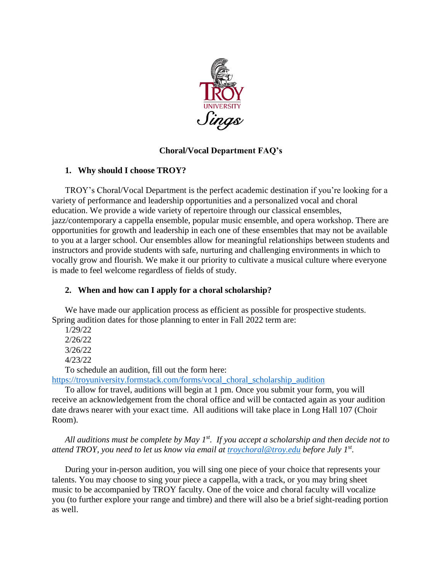

# **Choral/Vocal Department FAQ's**

# **1. Why should I choose TROY?**

TROY's Choral/Vocal Department is the perfect academic destination if you're looking for a variety of performance and leadership opportunities and a personalized vocal and choral education. We provide a wide variety of repertoire through our classical ensembles, jazz/contemporary a cappella ensemble, popular music ensemble, and opera workshop. There are opportunities for growth and leadership in each one of these ensembles that may not be available to you at a larger school. Our ensembles allow for meaningful relationships between students and instructors and provide students with safe, nurturing and challenging environments in which to vocally grow and flourish. We make it our priority to cultivate a musical culture where everyone is made to feel welcome regardless of fields of study.

# **2. When and how can I apply for a choral scholarship?**

We have made our application process as efficient as possible for prospective students. Spring audition dates for those planning to enter in Fall 2022 term are:

1/29/22 2/26/22 3/26/22 4/23/22

To schedule an audition, fill out the form here:

[https://troyuniversity.formstack.com/forms/vocal\\_choral\\_scholarship\\_audition](https://troyuniversity.formstack.com/forms/vocal_choral_scholarship_audition)

To allow for travel, auditions will begin at 1 pm. Once you submit your form, you will receive an acknowledgement from the choral office and will be contacted again as your audition date draws nearer with your exact time. All auditions will take place in Long Hall 107 (Choir Room).

*All auditions must be complete by May 1st. If you accept a scholarship and then decide not to attend TROY, you need to let us know via email at [troychoral@troy.edu](mailto:troychoral@troy.edu) before July 1st .* 

During your in-person audition, you will sing one piece of your choice that represents your talents. You may choose to sing your piece a cappella, with a track, or you may bring sheet music to be accompanied by TROY faculty. One of the voice and choral faculty will vocalize you (to further explore your range and timbre) and there will also be a brief sight-reading portion as well.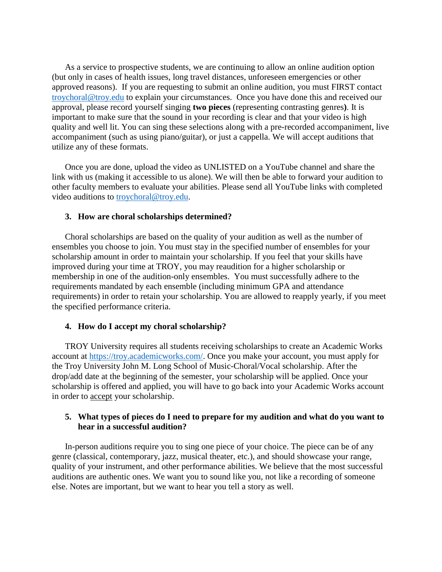As a service to prospective students, we are continuing to allow an online audition option (but only in cases of health issues, long travel distances, unforeseen emergencies or other approved reasons). If you are requesting to submit an online audition, you must FIRST contact [troychoral@troy.edu](mailto:troychoral@troy.edu) to explain your circumstances. Once you have done this and received our approval, please record yourself singing **two pieces** (representing contrasting genres**)**. It is important to make sure that the sound in your recording is clear and that your video is high quality and well lit. You can sing these selections along with a pre-recorded accompaniment, live accompaniment (such as using piano/guitar), or just a cappella. We will accept auditions that utilize any of these formats.

Once you are done, upload the video as UNLISTED on a YouTube channel and share the link with us (making it accessible to us alone). We will then be able to forward your audition to other faculty members to evaluate your abilities. Please send all YouTube links with completed video auditions to [troychoral@troy.edu.](mailto:troychoral@troy.edu)

#### **3. How are choral scholarships determined?**

Choral scholarships are based on the quality of your audition as well as the number of ensembles you choose to join. You must stay in the specified number of ensembles for your scholarship amount in order to maintain your scholarship. If you feel that your skills have improved during your time at TROY, you may reaudition for a higher scholarship or membership in one of the audition-only ensembles. You must successfully adhere to the requirements mandated by each ensemble (including minimum GPA and attendance requirements) in order to retain your scholarship. You are allowed to reapply yearly, if you meet the specified performance criteria.

#### **4. How do I accept my choral scholarship?**

TROY University requires all students receiving scholarships to create an Academic Works account at [https://troy.academicworks.com/.](https://troy.academicworks.com/) Once you make your account, you must apply for the Troy University John M. Long School of Music-Choral/Vocal scholarship. After the drop/add date at the beginning of the semester, your scholarship will be applied. Once your scholarship is offered and applied, you will have to go back into your Academic Works account in order to accept your scholarship.

### **5. What types of pieces do I need to prepare for my audition and what do you want to hear in a successful audition?**

In-person auditions require you to sing one piece of your choice. The piece can be of any genre (classical, contemporary, jazz, musical theater, etc.), and should showcase your range, quality of your instrument, and other performance abilities. We believe that the most successful auditions are authentic ones. We want you to sound like you, not like a recording of someone else. Notes are important, but we want to hear you tell a story as well.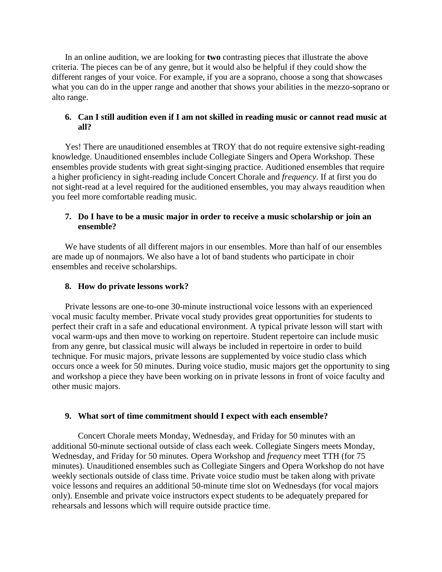In an online audition, we are looking for **two** contrasting pieces that illustrate the above criteria. The pieces can be of any genre, but it would also be helpful if they could show the different ranges of your voice. For example, if you are a soprano, choose a song that showcases what you can do in the upper range and another that shows your abilities in the mezzo-soprano or alto range.

### **6. Can I still audition even if I am not skilled in reading music or cannot read music at all?**

Yes! There are unauditioned ensembles at TROY that do not require extensive sight-reading knowledge. Unauditioned ensembles include Collegiate Singers and Opera Workshop. These ensembles provide students with great sight-singing practice. Auditioned ensembles that require a higher proficiency in sight-reading include Concert Chorale and *frequency*. If at first you do not sight-read at a level required for the auditioned ensembles, you may always reaudition when you feel more comfortable reading music.

## **7. Do I have to be a music major in order to receive a music scholarship or join an ensemble?**

We have students of all different majors in our ensembles. More than half of our ensembles are made up of nonmajors. We also have a lot of band students who participate in choir ensembles and receive scholarships.

### **8. How do private lessons work?**

Private lessons are one-to-one 30-minute instructional voice lessons with an experienced vocal music faculty member. Private vocal study provides great opportunities for students to perfect their craft in a safe and educational environment. A typical private lesson will start with vocal warm-ups and then move to working on repertoire. Student repertoire can include music from any genre, but classical music will always be included in repertoire in order to build technique. For music majors, private lessons are supplemented by voice studio class which occurs once a week for 50 minutes. During voice studio, music majors get the opportunity to sing and workshop a piece they have been working on in private lessons in front of voice faculty and other music majors.

#### **9. What sort of time commitment should I expect with each ensemble?**

Concert Chorale meets Monday, Wednesday, and Friday for 50 minutes with an additional 50-minute sectional outside of class each week. Collegiate Singers meets Monday, Wednesday, and Friday for 50 minutes. Opera Workshop and *frequency* meet TTH (for 75 minutes). Unauditioned ensembles such as Collegiate Singers and Opera Workshop do not have weekly sectionals outside of class time. Private voice studio must be taken along with private voice lessons and requires an additional 50-minute time slot on Wednesdays (for vocal majors only). Ensemble and private voice instructors expect students to be adequately prepared for rehearsals and lessons which will require outside practice time.